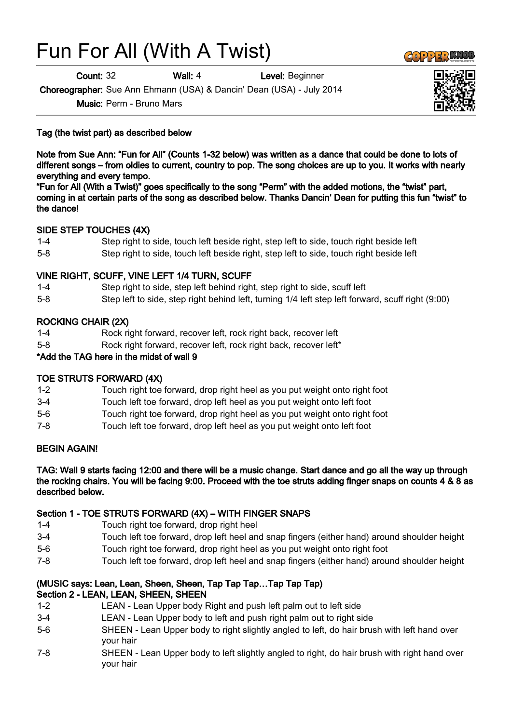# Fun For All (With A Twist)

**Count: 32 Wall: 4** Level: Beginner

Choreographer: Sue Ann Ehmann (USA) & Dancin' Dean (USA) - July 2014

Music: Perm - Bruno Mars

Tag (the twist part) as described below

Note from Sue Ann: "Fun for All" (Counts 1-32 below) was written as a dance that could be done to lots of different songs – from oldies to current, country to pop. The song choices are up to you. It works with nearly everything and every tempo.

"Fun for All (With a Twist)" goes specifically to the song "Perm" with the added motions, the "twist" part, coming in at certain parts of the song as described below. Thanks Dancin' Dean for putting this fun "twist" to the dance!

# SIDE STEP TOUCHES (4X)

- 1-4 Step right to side, touch left beside right, step left to side, touch right beside left
- 5-8 Step right to side, touch left beside right, step left to side, touch right beside left

# VINE RIGHT, SCUFF, VINE LEFT 1/4 TURN, SCUFF

- 1-4 Step right to side, step left behind right, step right to side, scuff left
- 5-8 Step left to side, step right behind left, turning 1/4 left step left forward, scuff right (9:00)

# ROCKING CHAIR (2X)

- 1-4 Rock right forward, recover left, rock right back, recover left
- 5-8 Rock right forward, recover left, rock right back, recover left\*

## \*Add the TAG here in the midst of wall 9

### TOE STRUTS FORWARD (4X)

- 1-2 Touch right toe forward, drop right heel as you put weight onto right foot
- 3-4 Touch left toe forward, drop left heel as you put weight onto left foot
- 5-6 Touch right toe forward, drop right heel as you put weight onto right foot
- 7-8 Touch left toe forward, drop left heel as you put weight onto left foot

### BEGIN AGAIN!

TAG: Wall 9 starts facing 12:00 and there will be a music change. Start dance and go all the way up through the rocking chairs. You will be facing 9:00. Proceed with the toe struts adding finger snaps on counts 4 & 8 as described below.

### Section 1 - TOE STRUTS FORWARD (4X) – WITH FINGER SNAPS

- 1-4 Touch right toe forward, drop right heel
- 3-4 Touch left toe forward, drop left heel and snap fingers (either hand) around shoulder height
- 5-6 Touch right toe forward, drop right heel as you put weight onto right foot
- 7-8 Touch left toe forward, drop left heel and snap fingers (either hand) around shoulder height

#### (MUSIC says: Lean, Lean, Sheen, Sheen, Tap Tap Tap…Tap Tap Tap) Section 2 - LEAN, LEAN, SHEEN, SHEEN

- 1-2 LEAN Lean Upper body Right and push left palm out to left side
- 3-4 LEAN Lean Upper body to left and push right palm out to right side
- 5-6 SHEEN Lean Upper body to right slightly angled to left, do hair brush with left hand over your hair
- 7-8 SHEEN Lean Upper body to left slightly angled to right, do hair brush with right hand over your hair